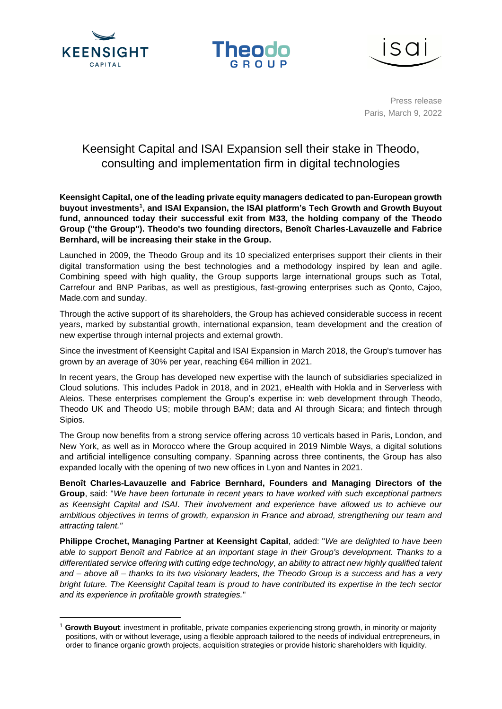





Press release Paris, March 9, 2022

# Keensight Capital and ISAI Expansion sell their stake in Theodo, consulting and implementation firm in digital technologies

**Keensight Capital, one of the leading private equity managers dedicated to pan-European growth buyout investments<sup>1</sup> , and ISAI Expansion, the ISAI platform's Tech Growth and Growth Buyout fund, announced today their successful exit from M33, the holding company of the Theodo Group ("the Group"). Theodo's two founding directors, Benoît Charles-Lavauzelle and Fabrice Bernhard, will be increasing their stake in the Group.**

Launched in 2009, the Theodo Group and its 10 specialized enterprises support their clients in their digital transformation using the best technologies and a methodology inspired by lean and agile. Combining speed with high quality, the Group supports large international groups such as Total, Carrefour and BNP Paribas, as well as prestigious, fast-growing enterprises such as Qonto, Cajoo, Made.com and sunday.

Through the active support of its shareholders, the Group has achieved considerable success in recent years, marked by substantial growth, international expansion, team development and the creation of new expertise through internal projects and external growth.

Since the investment of Keensight Capital and ISAI Expansion in March 2018, the Group's turnover has grown by an average of 30% per year, reaching €64 million in 2021.

In recent years, the Group has developed new expertise with the launch of subsidiaries specialized in Cloud solutions. This includes Padok in 2018, and in 2021, eHealth with Hokla and in Serverless with Aleios. These enterprises complement the Group's expertise in: web development through Theodo, Theodo UK and Theodo US; mobile through BAM; data and AI through Sicara; and fintech through Sipios.

The Group now benefits from a strong service offering across 10 verticals based in Paris, London, and New York, as well as in Morocco where the Group acquired in 2019 Nimble Ways, a digital solutions and artificial intelligence consulting company. Spanning across three continents, the Group has also expanded locally with the opening of two new offices in Lyon and Nantes in 2021.

**Benoît Charles-Lavauzelle and Fabrice Bernhard, Founders and Managing Directors of the Group**, said: "*We have been fortunate in recent years to have worked with such exceptional partners as Keensight Capital and ISAI. Their involvement and experience have allowed us to achieve our ambitious objectives in terms of growth, expansion in France and abroad, strengthening our team and attracting talent."*

**Philippe Crochet, Managing Partner at Keensight Capital**, added: "*We are delighted to have been able to support Benoît and Fabrice at an important stage in their Group's development. Thanks to a differentiated service offering with cutting edge technology, an ability to attract new highly qualified talent and – above all – thanks to its two visionary leaders, the Theodo Group is a success and has a very bright future. The Keensight Capital team is proud to have contributed its expertise in the tech sector and its experience in profitable growth strategies.*"

<sup>1</sup> **Growth Buyout**: investment in profitable, private companies experiencing strong growth, in minority or majority positions, with or without leverage, using a flexible approach tailored to the needs of individual entrepreneurs, in order to finance organic growth projects, acquisition strategies or provide historic shareholders with liquidity.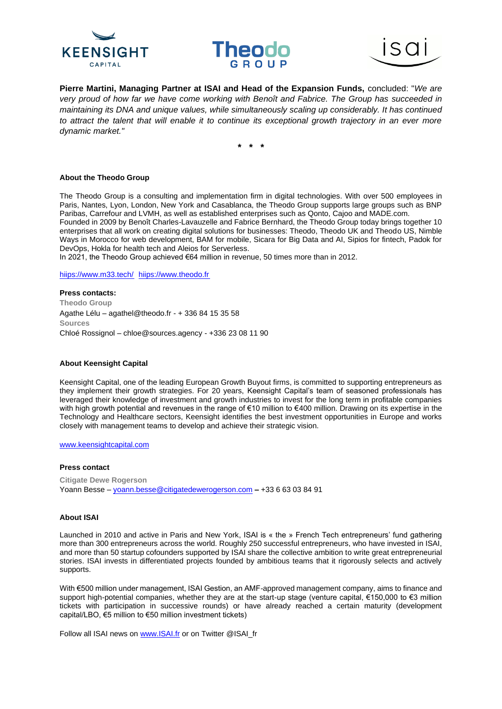





**Pierre Martini, Managing Partner at ISAI and Head of the Expansion Funds,** concluded: "*We are very proud of how far we have come working with Benoît and Fabrice. The Group has succeeded in maintaining its DNA and unique values, while simultaneously scaling up considerably. It has continued to attract the talent that will enable it to continue its exceptional growth trajectory in an ever more dynamic market."*

**\* \* \***

## **About the Theodo Group**

The Theodo Group is a consulting and implementation firm in digital technologies. With over 500 employees in Paris, Nantes, Lyon, London, New York and Casablanca, the Theodo Group supports large groups such as BNP Paribas, Carrefour and LVMH, as well as established enterprises such as Qonto, Cajoo and MADE.com.

Founded in 2009 by Benoît Charles-Lavauzelle and Fabrice Bernhard, the Theodo Group today brings together 10 enterprises that all work on creating digital solutions for businesses: Theodo, Theodo UK and Theodo US, Nimble Ways in Morocco for web development, BAM for mobile, Sicara for Big Data and AI, Sipios for fintech, Padok for DevOps, Hokla for health tech and Aleios for Serverless.

In 2021, the Theodo Group achieved €64 million in revenue, 50 times more than in 2012.

hiips://www.m33.tech/ hiips://www.theodo.fr

**Press contacts: Theodo Group**  Agathe Lélu – agathel@theodo.fr - + 336 84 15 35 58 **Sources**  Chloé Rossignol – chloe@sources.agency - +336 23 08 11 90

## **About Keensight Capital**

Keensight Capital, one of the leading European Growth Buyout firms, is committed to supporting entrepreneurs as they implement their growth strategies. For 20 years, Keensight Capital's team of seasoned professionals has leveraged their knowledge of investment and growth industries to invest for the long term in profitable companies with high growth potential and revenues in the range of €10 million to €400 million. Drawing on its expertise in the Technology and Healthcare sectors, Keensight identifies the best investment opportunities in Europe and works closely with management teams to develop and achieve their strategic vision.

www.keensightcapital.com

## **Press contact**

**Citigate Dewe Rogerson**  Yoann Besse – yoann.besse@citigatedewerogerson.com **–** +33 6 63 03 84 91

## **About ISAI**

Launched in 2010 and active in Paris and New York, ISAI is « the » French Tech entrepreneurs' fund gathering more than 300 entrepreneurs across the world. Roughly 250 successful entrepreneurs, who have invested in ISAI, and more than 50 startup cofounders supported by ISAI share the collective ambition to write great entrepreneurial stories. ISAI invests in differentiated projects founded by ambitious teams that it rigorously selects and actively supports.

With €500 million under management, ISAI Gestion, an AMF-approved management company, aims to finance and support high-potential companies, whether they are at the start-up stage (venture capital, €150,000 to €3 million tickets with participation in successive rounds) or have already reached a certain maturity (development capital/LBO, €5 million to €50 million investment tickets)

Follow all ISAI news on www.ISAI.fr or on Twitter @ISAI\_fr